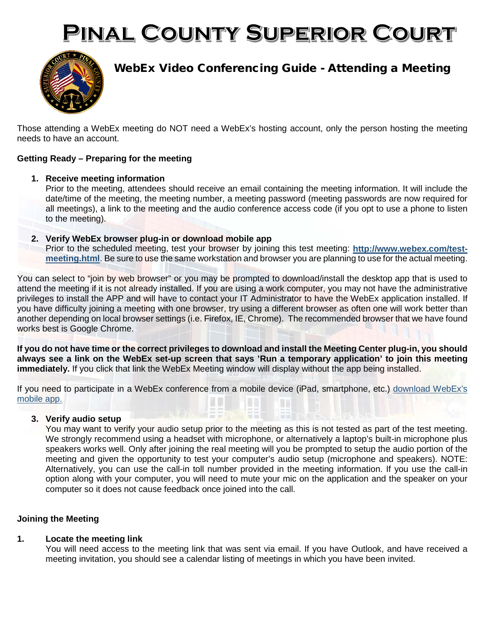# PINAL COUNTY SUPERIOR COURT



## WebEx Video Conferencing Guide - Attending a Meeting

Those attending a WebEx meeting do NOT need a WebEx's hosting account, only the person hosting the meeting needs to have an account.

### **Getting Ready – Preparing for the meeting**

**1. Receive meeting information**

Prior to the meeting, attendees should receive an email containing the meeting information. It will include the date/time of the meeting, the meeting number, a meeting password (meeting passwords are now required for all meetings), a link to the meeting and the audio conference access code (if you opt to use a phone to listen to the meeting).

- **2. Verify WebEx browser plug-in or download mobile app**
	- Prior to the scheduled meeting, test your browser by joining this test meeting: **[http://www.webex.com/test](http://www.webex.com/test-meeting.html)[meeting.html](http://www.webex.com/test-meeting.html)**. Be sure to use the same workstation and browser you are planning to use for the actual meeting.

You can select to "join by web browser" or you may be prompted to download/install the desktop app that is used to attend the meeting if it is not already installed. If you are using a work computer, you may not have the administrative privileges to install the APP and will have to contact your IT Administrator to have the WebEx application installed. If you have difficulty joining a meeting with one browser, try using a different browser as often one will work better than another depending on local browser settings (i.e. Firefox, IE, Chrome). The recommended browser that we have found works best is Google Chrome.

**If you do not have time or the correct privileges to download and install the Meeting Center plug-in, you should always see a link on the WebEx set-up screen that says 'Run a temporary application' to join this meeting immediately.** If you click that link the WebEx Meeting window will display without the app being installed.

If you need to participate in a WebEx conference from a mobile device (iPad, smartphone, etc.) [download WebEx's](http://www.webex.com/products/web-conferencing/mobile.html)  [mobile app.](http://www.webex.com/products/web-conferencing/mobile.html)

#### **3. Verify audio setup**

You may want to verify your audio setup prior to the meeting as this is not tested as part of the test meeting. We strongly recommend using a headset with microphone, or alternatively a laptop's built-in microphone plus speakers works well. Only after joining the real meeting will you be prompted to setup the audio portion of the meeting and given the opportunity to test your computer's audio setup (microphone and speakers). NOTE: Alternatively, you can use the call-in toll number provided in the meeting information. If you use the call-in option along with your computer, you will need to mute your mic on the application and the speaker on your computer so it does not cause feedback once joined into the call.

#### **Joining the Meeting**

#### **1. Locate the meeting link**

You will need access to the meeting link that was sent via email. If you have Outlook, and have received a meeting invitation, you should see a calendar listing of meetings in which you have been invited.